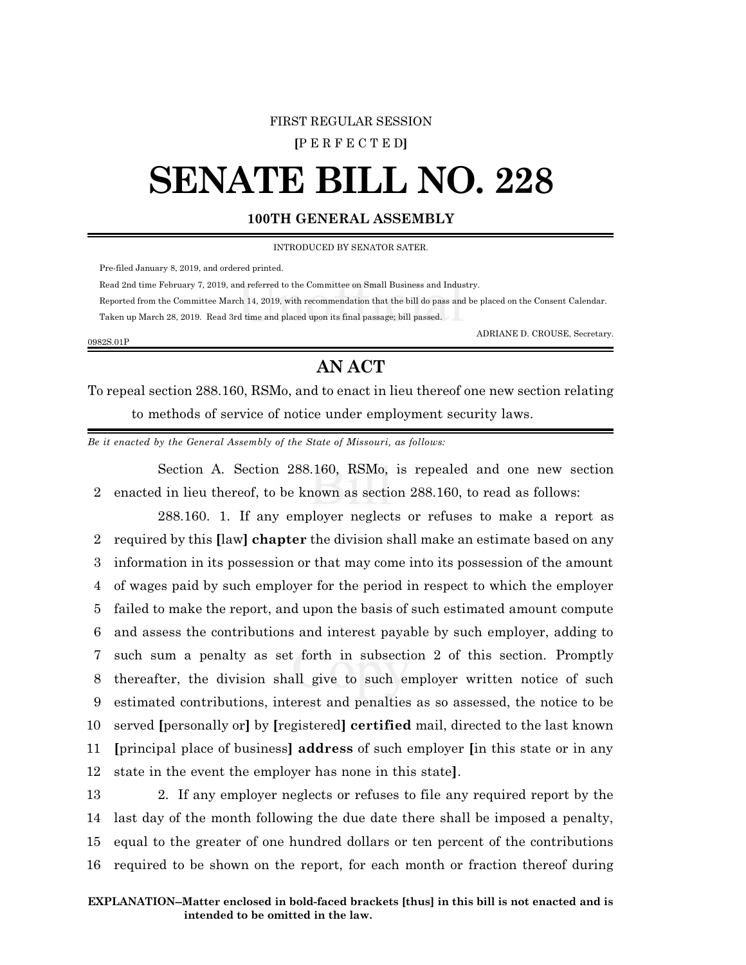### FIRST REGULAR SESSION

**[**P E R F E C T E D**]**

# **SENATE BILL NO. 228**

# **100TH GENERAL ASSEMBLY**

INTRODUCED BY SENATOR SATER.

Pre-filed January 8, 2019, and ordered printed.

Read 2nd time February 7, 2019, and referred to the Committee on Small Business and Industry.

 Reported from the Committee March 14, 2019, with recommendation that the bill do pass and be placed on the Consent Calendar. Taken up March 28, 2019. Read 3rd time and placed upon its final passage; bill passed.

#### 0982S.01P

ADRIANE D. CROUSE, Secretary.

# **AN ACT**

To repeal section 288.160, RSMo, and to enact in lieu thereof one new section relating to methods of service of notice under employment security laws.

*Be it enacted by the General Assembly of the State of Missouri, as follows:*

Section A. Section 288.160, RSMo, is repealed and one new section 2 enacted in lieu thereof, to be known as section 288.160, to read as follows:

288.160. 1. If any employer neglects or refuses to make a report as required by this **[**law**] chapter** the division shall make an estimate based on any information in its possession or that may come into its possession of the amount of wages paid by such employer for the period in respect to which the employer failed to make the report, and upon the basis of such estimated amount compute and assess the contributions and interest payable by such employer, adding to such sum a penalty as set forth in subsection 2 of this section. Promptly thereafter, the division shall give to such employer written notice of such estimated contributions, interest and penalties as so assessed, the notice to be served **[**personally or**]** by **[**registered**] certified** mail, directed to the last known **[**principal place of business**] address** of such employer **[**in this state or in any state in the event the employer has none in this state**]**.

 2. If any employer neglects or refuses to file any required report by the last day of the month following the due date there shall be imposed a penalty, equal to the greater of one hundred dollars or ten percent of the contributions required to be shown on the report, for each month or fraction thereof during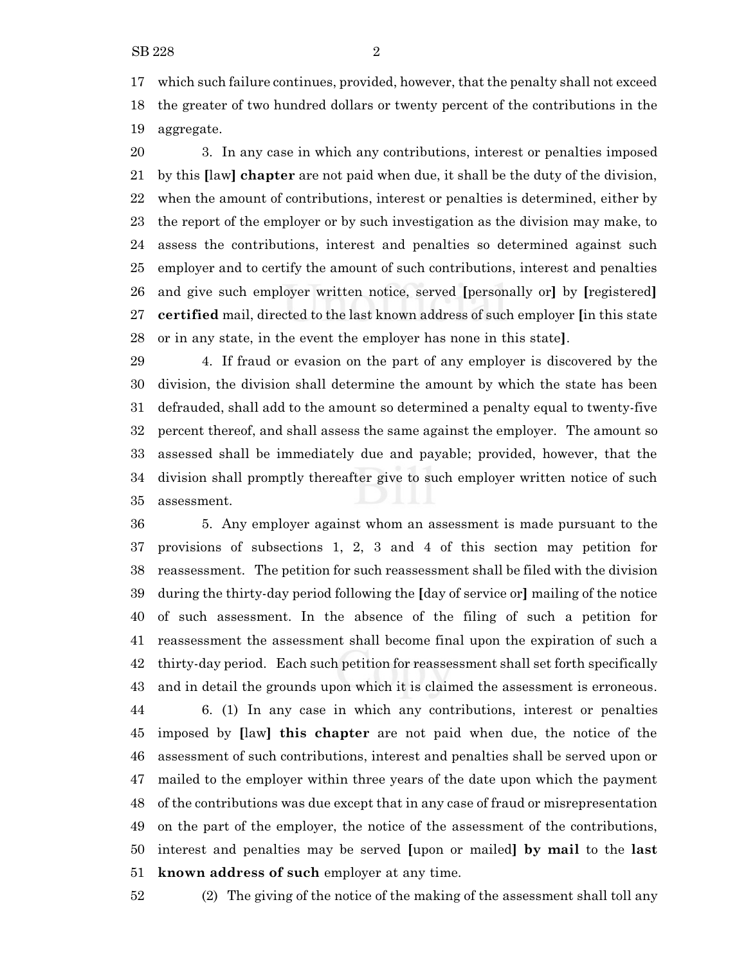which such failure continues, provided, however, that the penalty shall not exceed the greater of two hundred dollars or twenty percent of the contributions in the aggregate.

 3. In any case in which any contributions, interest or penalties imposed by this **[**law**] chapter** are not paid when due, it shall be the duty of the division, when the amount of contributions, interest or penalties is determined, either by the report of the employer or by such investigation as the division may make, to assess the contributions, interest and penalties so determined against such employer and to certify the amount of such contributions, interest and penalties and give such employer written notice, served **[**personally or**]** by **[**registered**] certified** mail, directed to the last known address of such employer **[**in this state or in any state, in the event the employer has none in this state**]**.

 4. If fraud or evasion on the part of any employer is discovered by the division, the division shall determine the amount by which the state has been defrauded, shall add to the amount so determined a penalty equal to twenty-five percent thereof, and shall assess the same against the employer. The amount so assessed shall be immediately due and payable; provided, however, that the division shall promptly thereafter give to such employer written notice of such assessment.

 5. Any employer against whom an assessment is made pursuant to the provisions of subsections 1, 2, 3 and 4 of this section may petition for reassessment. The petition for such reassessment shall be filed with the division during the thirty-day period following the **[**day of service or**]** mailing of the notice of such assessment. In the absence of the filing of such a petition for reassessment the assessment shall become final upon the expiration of such a thirty-day period. Each such petition for reassessment shall set forth specifically and in detail the grounds upon which it is claimed the assessment is erroneous. 6. (1) In any case in which any contributions, interest or penalties imposed by **[**law**] this chapter** are not paid when due, the notice of the

 assessment of such contributions, interest and penalties shall be served upon or mailed to the employer within three years of the date upon which the payment of the contributions was due except that in any case of fraud or misrepresentation on the part of the employer, the notice of the assessment of the contributions, interest and penalties may be served **[**upon or mailed**] by mail** to the **last known address of such** employer at any time.

(2) The giving of the notice of the making of the assessment shall toll any